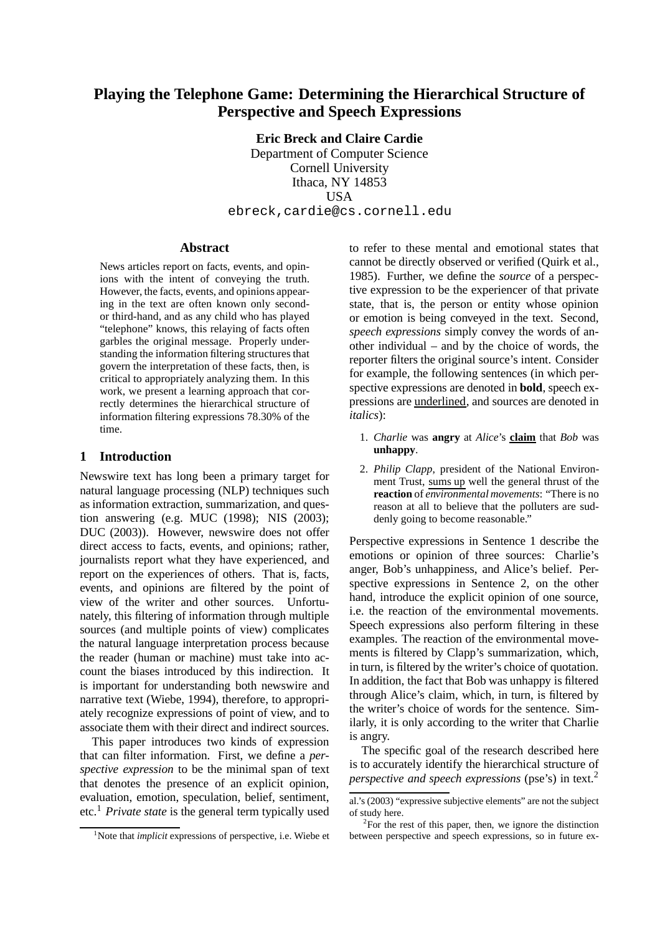# **Playing the Telephone Game: Determining the Hierarchical Structure of Perspective and Speech Expressions**

**Eric Breck and Claire Cardie**

Department of Computer Science Cornell University Ithaca, NY 14853 USA ebreck,cardie@cs.cornell.edu

# **Abstract**

News articles report on facts, events, and opinions with the intent of conveying the truth. However, the facts, events, and opinions appearing in the text are often known only secondor third-hand, and as any child who has played "telephone" knows, this relaying of facts often garbles the original message. Properly understanding the information filtering structures that govern the interpretation of these facts, then, is critical to appropriately analyzing them. In this work, we present a learning approach that correctly determines the hierarchical structure of information filtering expressions 78.30% of the time.

# **1 Introduction**

Newswire text has long been a primary target for natural language processing (NLP) techniques such as information extraction, summarization, and question answering (e.g. MUC (1998); NIS (2003); DUC (2003)). However, newswire does not offer direct access to facts, events, and opinions; rather, journalists report what they have experienced, and report on the experiences of others. That is, facts, events, and opinions are filtered by the point of view of the writer and other sources. Unfortunately, this filtering of information through multiple sources (and multiple points of view) complicates the natural language interpretation process because the reader (human or machine) must take into account the biases introduced by this indirection. It is important for understanding both newswire and narrative text (Wiebe, 1994), therefore, to appropriately recognize expressions of point of view, and to associate them with their direct and indirect sources.

This paper introduces two kinds of expression that can filter information. First, we define a *perspective expression* to be the minimal span of text that denotes the presence of an explicit opinion, evaluation, emotion, speculation, belief, sentiment, etc.<sup>1</sup> *Private state* is the general term typically used to refer to these mental and emotional states that cannot be directly observed or verified (Quirk et al., 1985). Further, we define the *source* of a perspective expression to be the experiencer of that private state, that is, the person or entity whose opinion or emotion is being conveyed in the text. Second, *speech expressions* simply convey the words of another individual – and by the choice of words, the reporter filters the original source's intent. Consider for example, the following sentences (in which perspective expressions are denoted in **bold**, speech expressions are underlined, and sources are denoted in *italics*):

- 1. *Charlie* was **angry** at *Alice*'s **claim** that *Bob* was **unhappy**.
- 2. *Philip Clapp*, president of the National Environment Trust, sums up well the general thrust of the **reaction** of *environmental movements*: "There is no reason at all to believe that the polluters are suddenly going to become reasonable."

Perspective expressions in Sentence 1 describe the emotions or opinion of three sources: Charlie's anger, Bob's unhappiness, and Alice's belief. Perspective expressions in Sentence 2, on the other hand, introduce the explicit opinion of one source, i.e. the reaction of the environmental movements. Speech expressions also perform filtering in these examples. The reaction of the environmental movements is filtered by Clapp's summarization, which, in turn, is filtered by the writer's choice of quotation. In addition, the fact that Bob was unhappy is filtered through Alice's claim, which, in turn, is filtered by the writer's choice of words for the sentence. Similarly, it is only according to the writer that Charlie is angry.

The specific goal of the research described here is to accurately identify the hierarchical structure of *perspective and speech expressions* (pse's) in text.<sup>2</sup>

<sup>&</sup>lt;sup>1</sup>Note that *implicit* expressions of perspective, i.e. Wiebe et

al.'s (2003) "expressive subjective elements" are not the subject of study here.

 $2$ For the rest of this paper, then, we ignore the distinction between perspective and speech expressions, so in future ex-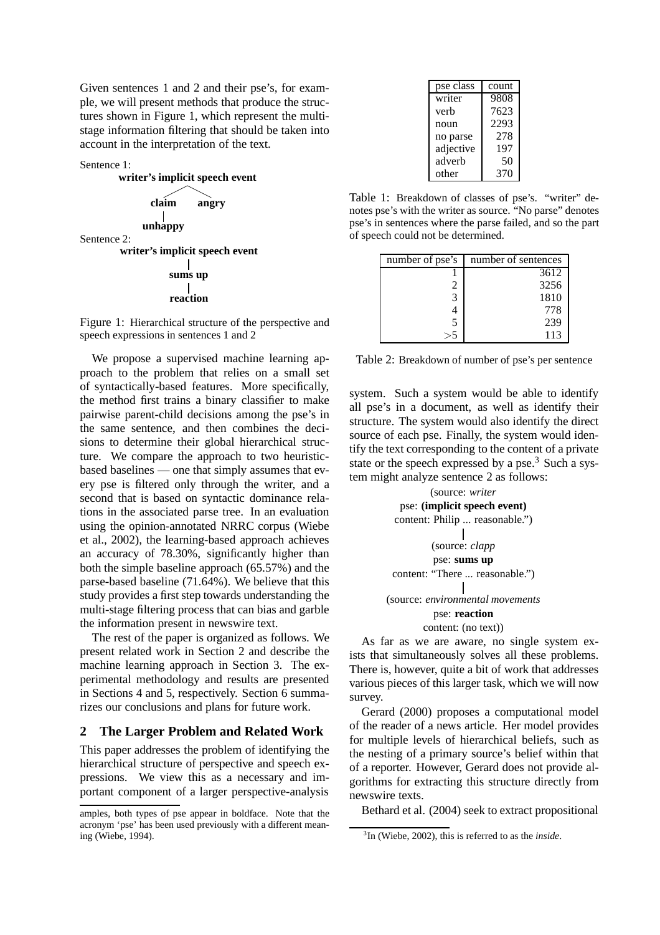Given sentences 1 and 2 and their pse's, for example, we will present methods that produce the structures shown in Figure 1, which represent the multistage information filtering that should be taken into account in the interpretation of the text.

Sentence 1:

**writer's implicit speech event claim angry unhappy** Sentence 2: **writer's implicit speech event** H **sums up reaction**

Figure 1: Hierarchical structure of the perspective and speech expressions in sentences 1 and 2

We propose a supervised machine learning approach to the problem that relies on a small set of syntactically-based features. More specifically, the method first trains a binary classifier to make pairwise parent-child decisions among the pse's in the same sentence, and then combines the decisions to determine their global hierarchical structure. We compare the approach to two heuristicbased baselines — one that simply assumes that every pse is filtered only through the writer, and a second that is based on syntactic dominance relations in the associated parse tree. In an evaluation using the opinion-annotated NRRC corpus (Wiebe et al., 2002), the learning-based approach achieves an accuracy of 78.30%, significantly higher than both the simple baseline approach (65.57%) and the parse-based baseline (71.64%). We believe that this study provides a first step towards understanding the multi-stage filtering process that can bias and garble the information present in newswire text.

The rest of the paper is organized as follows. We present related work in Section 2 and describe the machine learning approach in Section 3. The experimental methodology and results are presented in Sections 4 and 5, respectively. Section 6 summarizes our conclusions and plans for future work.

# **2 The Larger Problem and Related Work**

This paper addresses the problem of identifying the hierarchical structure of perspective and speech expressions. We view this as a necessary and important component of a larger perspective-analysis

| pse class | count |
|-----------|-------|
| writer    | 9808  |
| verb      | 7623  |
| noun      | 2293  |
| no parse  | 278   |
| adjective | 197   |
| adverb    | 50    |
| other     | 370   |

Table 1: Breakdown of classes of pse's. "writer" denotes pse's with the writer as source. "No parse" denotes pse's in sentences where the parse failed, and so the part of speech could not be determined.

| number of pse's | number of sentences |
|-----------------|---------------------|
|                 | 3612                |
|                 | 3256                |
| 3               | 1810                |
|                 | 778                 |
| 5               | 239                 |
|                 | 113                 |

Table 2: Breakdown of number of pse's per sentence

system. Such a system would be able to identify all pse's in a document, as well as identify their structure. The system would also identify the direct source of each pse. Finally, the system would identify the text corresponding to the content of a private state or the speech expressed by a pse. $3$  Such a system might analyze sentence 2 as follows:

> (source: *writer* pse: **(implicit speech event)** content: Philip ... reasonable.") (source: *clapp* pse: **sums up** content: "There ... reasonable.") (source: *environmental movements* pse: **reaction** content: (no text))

As far as we are aware, no single system exists that simultaneously solves all these problems. There is, however, quite a bit of work that addresses various pieces of this larger task, which we will now survey.

Gerard (2000) proposes a computational model of the reader of a news article. Her model provides for multiple levels of hierarchical beliefs, such as the nesting of a primary source's belief within that of a reporter. However, Gerard does not provide algorithms for extracting this structure directly from newswire texts.

Bethard et al. (2004) seek to extract propositional

amples, both types of pse appear in boldface. Note that the acronym 'pse' has been used previously with a different meaning (Wiebe, 1994).

<sup>3</sup> In (Wiebe, 2002), this is referred to as the *inside*.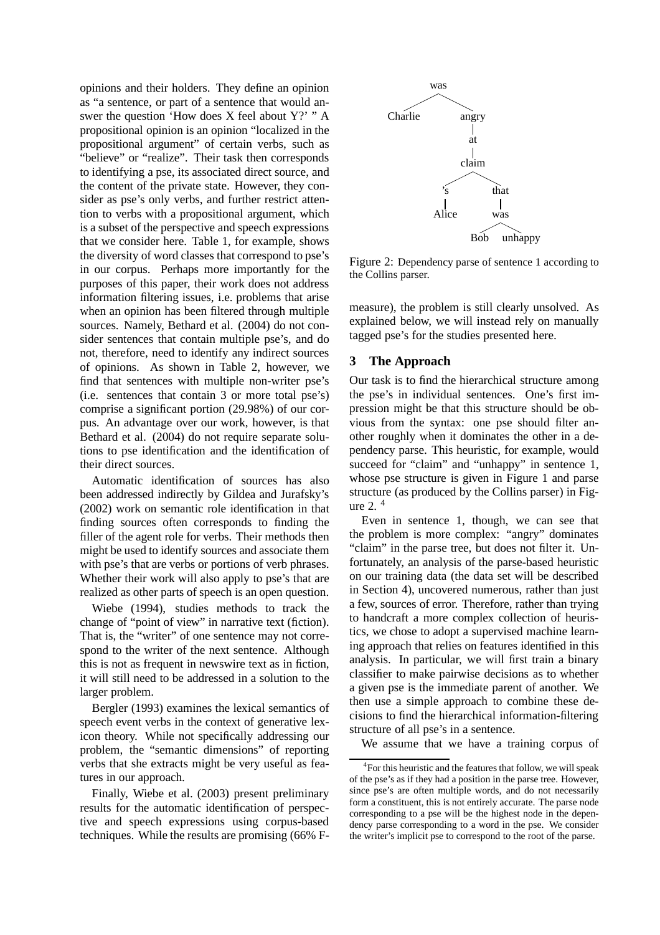opinions and their holders. They define an opinion as "a sentence, or part of a sentence that would answer the question 'How does X feel about Y?' " A propositional opinion is an opinion "localized in the propositional argument" of certain verbs, such as "believe" or "realize". Their task then corresponds to identifying a pse, its associated direct source, and the content of the private state. However, they consider as pse's only verbs, and further restrict attention to verbs with a propositional argument, which is a subset of the perspective and speech expressions that we consider here. Table 1, for example, shows the diversity of word classes that correspond to pse's in our corpus. Perhaps more importantly for the purposes of this paper, their work does not address information filtering issues, i.e. problems that arise when an opinion has been filtered through multiple sources. Namely, Bethard et al. (2004) do not consider sentences that contain multiple pse's, and do not, therefore, need to identify any indirect sources of opinions. As shown in Table 2, however, we find that sentences with multiple non-writer pse's (i.e. sentences that contain 3 or more total pse's) comprise a significant portion (29.98%) of our corpus. An advantage over our work, however, is that Bethard et al. (2004) do not require separate solutions to pse identification and the identification of their direct sources.

Automatic identification of sources has also been addressed indirectly by Gildea and Jurafsky's (2002) work on semantic role identification in that finding sources often corresponds to finding the filler of the agent role for verbs. Their methods then might be used to identify sources and associate them with pse's that are verbs or portions of verb phrases. Whether their work will also apply to pse's that are realized as other parts of speech is an open question.

Wiebe (1994), studies methods to track the change of "point of view" in narrative text (fiction). That is, the "writer" of one sentence may not correspond to the writer of the next sentence. Although this is not as frequent in newswire text as in fiction, it will still need to be addressed in a solution to the larger problem.

Bergler (1993) examines the lexical semantics of speech event verbs in the context of generative lexicon theory. While not specifically addressing our problem, the "semantic dimensions" of reporting verbs that she extracts might be very useful as features in our approach.

Finally, Wiebe et al. (2003) present preliminary results for the automatic identification of perspective and speech expressions using corpus-based techniques. While the results are promising (66% F-



Figure 2: Dependency parse of sentence 1 according to the Collins parser.

measure), the problem is still clearly unsolved. As explained below, we will instead rely on manually tagged pse's for the studies presented here.

# **3 The Approach**

Our task is to find the hierarchical structure among the pse's in individual sentences. One's first impression might be that this structure should be obvious from the syntax: one pse should filter another roughly when it dominates the other in a dependency parse. This heuristic, for example, would succeed for "claim" and "unhappy" in sentence 1, whose pse structure is given in Figure 1 and parse structure (as produced by the Collins parser) in Figure 2. <sup>4</sup>

Even in sentence 1, though, we can see that the problem is more complex: "angry" dominates "claim" in the parse tree, but does not filter it. Unfortunately, an analysis of the parse-based heuristic on our training data (the data set will be described in Section 4), uncovered numerous, rather than just a few, sources of error. Therefore, rather than trying to handcraft a more complex collection of heuristics, we chose to adopt a supervised machine learning approach that relies on features identified in this analysis. In particular, we will first train a binary classifier to make pairwise decisions as to whether a given pse is the immediate parent of another. We then use a simple approach to combine these decisions to find the hierarchical information-filtering structure of all pse's in a sentence.

We assume that we have a training corpus of

<sup>&</sup>lt;sup>4</sup> For this heuristic and the features that follow, we will speak of the pse's as if they had a position in the parse tree. However, since pse's are often multiple words, and do not necessarily form a constituent, this is not entirely accurate. The parse node corresponding to a pse will be the highest node in the dependency parse corresponding to a word in the pse. We consider the writer's implicit pse to correspond to the root of the parse.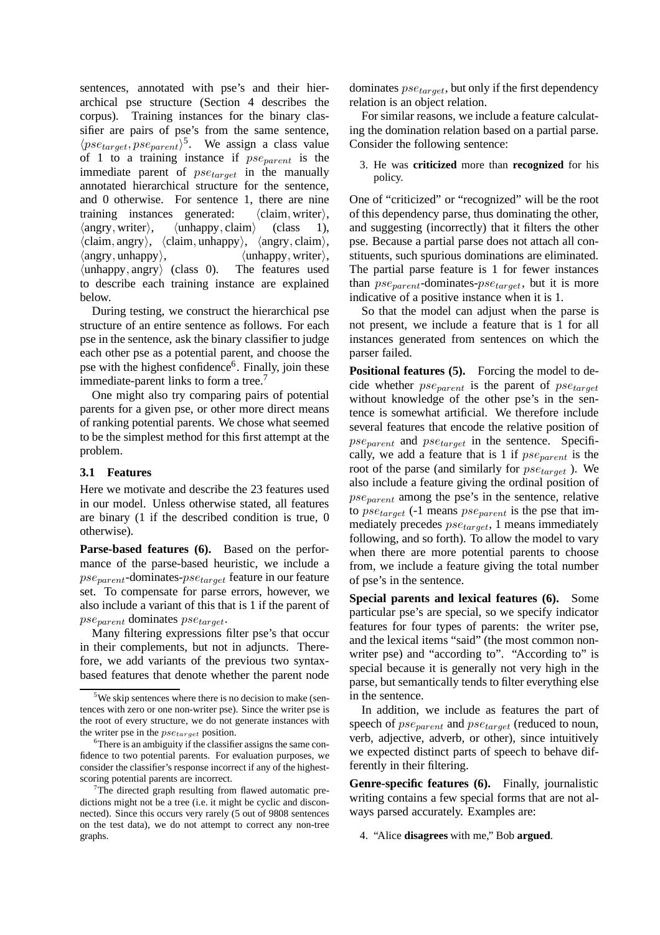sentences, annotated with pse's and their hierarchical pse structure (Section 4 describes the corpus). Training instances for the binary classifier are pairs of pse's from the same sentence,  $\langle pset_{target}, pse_{parent} \rangle^5$ . We assign a class value of 1 to a training instance if  $pse_{parent}$  is the immediate parent of  $pse_{target}$  in the manually annotated hierarchical structure for the sentence, and 0 otherwise. For sentence 1, there are nine training instances generated:  $\langle claim, writer \rangle$ ,  $\langle$ angry, writer $\rangle$ ,  $\langle$ unhappy, claim $\rangle$  (class 1),  $\langle$ claim, angry $\rangle$ ,  $\langle$ claim, unhappy $\rangle$ ,  $\langle$ angry, claim $\rangle$ ,  $\langle$ angry, unhappy $\rangle$ ,  $\langle$ unhappy, writer $\rangle$ ,  $\langle$ unhappy, angry $\rangle$  (class 0). The features used to describe each training instance are explained below.

During testing, we construct the hierarchical pse structure of an entire sentence as follows. For each pse in the sentence, ask the binary classifier to judge each other pse as a potential parent, and choose the pse with the highest confidence<sup>6</sup>. Finally, join these immediate-parent links to form a tree.<sup>7</sup>

One might also try comparing pairs of potential parents for a given pse, or other more direct means of ranking potential parents. We chose what seemed to be the simplest method for this first attempt at the problem.

#### **3.1 Features**

Here we motivate and describe the 23 features used in our model. Unless otherwise stated, all features are binary (1 if the described condition is true, 0 otherwise).

**Parse-based features (6).** Based on the performance of the parse-based heuristic, we include a  $pse_{parent}$ -dominates- $pse_{target}$  feature in our feature set. To compensate for parse errors, however, we also include a variant of this that is 1 if the parent of  $pse_{parent}$  dominates  $pse_{target}$ .

Many filtering expressions filter pse's that occur in their complements, but not in adjuncts. Therefore, we add variants of the previous two syntaxbased features that denote whether the parent node dominates  $pse_{target}$ , but only if the first dependency relation is an object relation.

For similar reasons, we include a feature calculating the domination relation based on a partial parse. Consider the following sentence:

3. He was **criticized** more than **recognized** for his policy.

One of "criticized" or "recognized" will be the root of this dependency parse, thus dominating the other, and suggesting (incorrectly) that it filters the other pse. Because a partial parse does not attach all constituents, such spurious dominations are eliminated. The partial parse feature is 1 for fewer instances than  $pse_{parent}$ -dominates- $pse_{target}$ , but it is more indicative of a positive instance when it is 1.

So that the model can adjust when the parse is not present, we include a feature that is 1 for all instances generated from sentences on which the parser failed.

**Positional features (5).** Forcing the model to decide whether  $pse_{parent}$  is the parent of  $pse_{target}$ without knowledge of the other pse's in the sentence is somewhat artificial. We therefore include several features that encode the relative position of  $pse_{parent}$  and  $pse_{target}$  in the sentence. Specifically, we add a feature that is 1 if  $pse_{parent}$  is the root of the parse (and similarly for  $pse_{target}$ ). We also include a feature giving the ordinal position of  $pse_{parent}$  among the pse's in the sentence, relative to  $pset_{target}$  (-1 means  $pset_{parent}$  is the pse that immediately precedes  $pse_{target}$ , 1 means immediately following, and so forth). To allow the model to vary when there are more potential parents to choose from, we include a feature giving the total number of pse's in the sentence.

**Special parents and lexical features (6).** Some particular pse's are special, so we specify indicator features for four types of parents: the writer pse, and the lexical items "said" (the most common nonwriter pse) and "according to". "According to" is special because it is generally not very high in the parse, but semantically tends to filter everything else in the sentence.

In addition, we include as features the part of speech of  $pse_{parent}$  and  $pse_{target}$  (reduced to noun, verb, adjective, adverb, or other), since intuitively we expected distinct parts of speech to behave differently in their filtering.

**Genre-specific features (6).** Finally, journalistic writing contains a few special forms that are not always parsed accurately. Examples are:

4. "Alice **disagrees** with me," Bob **argued**.

<sup>&</sup>lt;sup>5</sup>We skip sentences where there is no decision to make (sentences with zero or one non-writer pse). Since the writer pse is the root of every structure, we do not generate instances with the writer pse in the  $pset_{target}$  position.

<sup>&</sup>lt;sup>6</sup>There is an ambiguity if the classifier assigns the same confidence to two potential parents. For evaluation purposes, we consider the classifier's response incorrect if any of the highestscoring potential parents are incorrect.

 $7$ The directed graph resulting from flawed automatic predictions might not be a tree (i.e. it might be cyclic and disconnected). Since this occurs very rarely (5 out of 9808 sentences on the test data), we do not attempt to correct any non-tree graphs.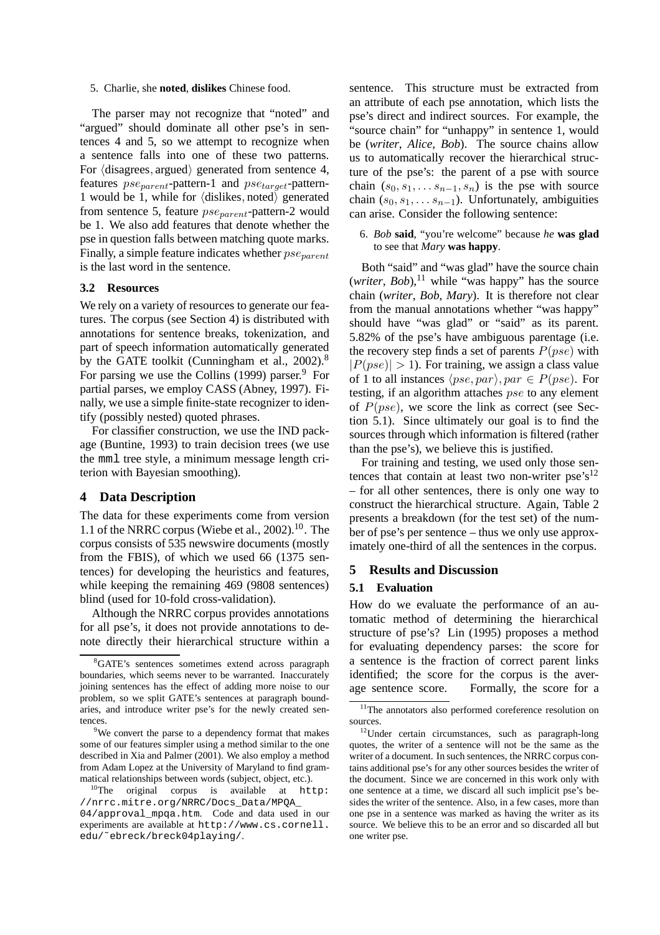#### 5. Charlie, she **noted**, **dislikes** Chinese food.

The parser may not recognize that "noted" and "argued" should dominate all other pse's in sentences 4 and 5, so we attempt to recognize when a sentence falls into one of these two patterns. For  $\langle$  disagrees, argued $\rangle$  generated from sentence 4, features  $pse_{parent}$ -pattern-1 and  $pse_{target}$ -pattern-1 would be 1, while for  $\langle$  dislikes, noted $\rangle$  generated from sentence 5, feature  $pse_{parent}$ -pattern-2 would be 1. We also add features that denote whether the pse in question falls between matching quote marks. Finally, a simple feature indicates whether  $pse_{parent}$ is the last word in the sentence.

### **3.2 Resources**

We rely on a variety of resources to generate our features. The corpus (see Section 4) is distributed with annotations for sentence breaks, tokenization, and part of speech information automatically generated by the GATE toolkit (Cunningham et al., 2002).<sup>8</sup> For parsing we use the Collins  $(1999)$  parser.<sup>9</sup> For partial parses, we employ CASS (Abney, 1997). Finally, we use a simple finite-state recognizer to identify (possibly nested) quoted phrases.

For classifier construction, we use the IND package (Buntine, 1993) to train decision trees (we use the mml tree style, a minimum message length criterion with Bayesian smoothing).

#### **4 Data Description**

The data for these experiments come from version 1.1 of the NRRC corpus (Wiebe et al., 2002). $^{10}$ . The corpus consists of 535 newswire documents (mostly from the FBIS), of which we used 66 (1375 sentences) for developing the heuristics and features, while keeping the remaining 469 (9808 sentences) blind (used for 10-fold cross-validation).

Although the NRRC corpus provides annotations for all pse's, it does not provide annotations to denote directly their hierarchical structure within a

sentence. This structure must be extracted from an attribute of each pse annotation, which lists the pse's direct and indirect sources. For example, the "source chain" for "unhappy" in sentence 1, would be (*writer*, *Alice*, *Bob*). The source chains allow us to automatically recover the hierarchical structure of the pse's: the parent of a pse with source chain  $(s_0, s_1, \ldots s_{n-1}, s_n)$  is the pse with source chain  $(s_0, s_1, \ldots s_{n-1})$ . Unfortunately, ambiguities can arise. Consider the following sentence:

6. *Bob* **said**, "you're welcome" because *he* **was glad** to see that *Mary* **was happy**.

Both "said" and "was glad" have the source chain (*writer*,  $Bob$ ),<sup>11</sup> while "was happy" has the source chain (*writer*, *Bob*, *Mary*). It is therefore not clear from the manual annotations whether "was happy" should have "was glad" or "said" as its parent. 5.82% of the pse's have ambiguous parentage (i.e. the recovery step finds a set of parents  $P(pse)$  with  $|P(pse)| > 1$ ). For training, we assign a class value of 1 to all instances  $\langle pse, par \rangle$ ,  $par \in P(pse)$ . For testing, if an algorithm attaches pse to any element of  $P(pse)$ , we score the link as correct (see Section 5.1). Since ultimately our goal is to find the sources through which information is filtered (rather than the pse's), we believe this is justified.

For training and testing, we used only those sentences that contain at least two non-writer pse's<sup>12</sup> – for all other sentences, there is only one way to construct the hierarchical structure. Again, Table 2 presents a breakdown (for the test set) of the number of pse's per sentence – thus we only use approximately one-third of all the sentences in the corpus.

#### **5 Results and Discussion**

#### **5.1 Evaluation**

How do we evaluate the performance of an automatic method of determining the hierarchical structure of pse's? Lin (1995) proposes a method for evaluating dependency parses: the score for a sentence is the fraction of correct parent links identified; the score for the corpus is the average sentence score. Formally, the score for a

<sup>8</sup>GATE's sentences sometimes extend across paragraph boundaries, which seems never to be warranted. Inaccurately joining sentences has the effect of adding more noise to our problem, so we split GATE's sentences at paragraph boundaries, and introduce writer pse's for the newly created sentences.

<sup>&</sup>lt;sup>9</sup>We convert the parse to a dependency format that makes some of our features simpler using a method similar to the one described in Xia and Palmer (2001). We also employ a method from Adam Lopez at the University of Maryland to find grammatical relationships between words (subject, object, etc.).

 $10$ The original corpus is available at http: //nrrc.mitre.org/NRRC/Docs\_Data/MPQA\_ 04/approval mpqa.htm. Code and data used in our

experiments are available at http://www.cs.cornell. edu/˜ebreck/breck04playing/.

<sup>&</sup>lt;sup>11</sup>The annotators also performed coreference resolution on sources.

<sup>&</sup>lt;sup>12</sup>Under certain circumstances, such as paragraph-long quotes, the writer of a sentence will not be the same as the writer of a document. In such sentences, the NRRC corpus contains additional pse's for any other sources besides the writer of the document. Since we are concerned in this work only with one sentence at a time, we discard all such implicit pse's besides the writer of the sentence. Also, in a few cases, more than one pse in a sentence was marked as having the writer as its source. We believe this to be an error and so discarded all but one writer pse.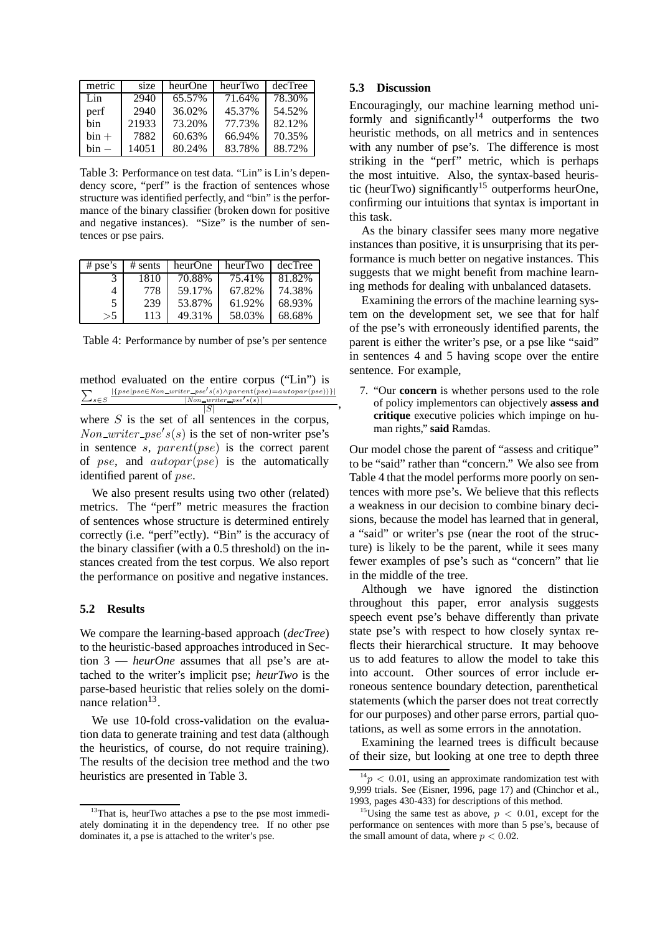| metric  | size  | heurOne | heurTwo | decTree |
|---------|-------|---------|---------|---------|
| Lin     | 2940  | 65.57%  | 71.64%  | 78.30%  |
| perf    | 2940  | 36.02%  | 45.37%  | 54.52%  |
| hin     | 21933 | 73.20%  | 77.73%  | 82.12%  |
| $bin +$ | 7882  | 60.63%  | 66.94%  | 70.35%  |
| hin     | 14051 | 80.24%  | 83.78%  | 88.72%  |

Table 3: Performance on test data. "Lin" is Lin's dependency score, "perf" is the fraction of sentences whose structure was identified perfectly, and "bin" is the performance of the binary classifier (broken down for positive and negative instances). "Size" is the number of sentences or pse pairs.

| # $pse's$ | $#$ sents | heurOne | heurTwo | decTree |
|-----------|-----------|---------|---------|---------|
|           | 1810      | 70.88%  | 75.41%  | 81.82%  |
|           | 778       | 59.17%  | 67.82%  | 74.38%  |
| 5         | 239       | 53.87%  | 61.92%  | 68.93%  |
| >5        | 113       | 49.31%  | 58.03%  | 68.68%  |

Table 4: Performance by number of pse's per sentence

method evaluated on the entire corpus ("Lin") is  $\sum$ s∈S  $|\{pse|pse \in Non\_writer$  $pse's(s) \land parent(pse) = autopar(pse))\}$  $|Non$  writer  $nse's(s)|$ ,

 $|S|$ where  $S$  is the set of all sentences in the corpus, *Non\_writer\_pse's(s)* is the set of non-writer pse's in sentence s, parent(pse) is the correct parent of pse, and  $autopar(pse)$  is the automatically identified parent of pse.

We also present results using two other (related) metrics. The "perf" metric measures the fraction of sentences whose structure is determined entirely correctly (i.e. "perf"ectly). "Bin" is the accuracy of the binary classifier (with a 0.5 threshold) on the instances created from the test corpus. We also report the performance on positive and negative instances.

#### **5.2 Results**

We compare the learning-based approach (*decTree*) to the heuristic-based approaches introduced in Section 3 — *heurOne* assumes that all pse's are attached to the writer's implicit pse; *heurTwo* is the parse-based heuristic that relies solely on the dominance relation $13$ .

We use 10-fold cross-validation on the evaluation data to generate training and test data (although the heuristics, of course, do not require training). The results of the decision tree method and the two heuristics are presented in Table 3.

## **5.3 Discussion**

Encouragingly, our machine learning method uniformly and significantly<sup>14</sup> outperforms the two heuristic methods, on all metrics and in sentences with any number of pse's. The difference is most striking in the "perf" metric, which is perhaps the most intuitive. Also, the syntax-based heuristic (heurTwo) significantly<sup>15</sup> outperforms heurOne, confirming our intuitions that syntax is important in this task.

As the binary classifer sees many more negative instances than positive, it is unsurprising that its performance is much better on negative instances. This suggests that we might benefit from machine learning methods for dealing with unbalanced datasets.

Examining the errors of the machine learning system on the development set, we see that for half of the pse's with erroneously identified parents, the parent is either the writer's pse, or a pse like "said" in sentences 4 and 5 having scope over the entire sentence. For example,

7. "Our **concern** is whether persons used to the role of policy implementors can objectively **assess and critique** executive policies which impinge on human rights," **said** Ramdas.

Our model chose the parent of "assess and critique" to be "said" rather than "concern." We also see from Table 4 that the model performs more poorly on sentences with more pse's. We believe that this reflects a weakness in our decision to combine binary decisions, because the model has learned that in general, a "said" or writer's pse (near the root of the structure) is likely to be the parent, while it sees many fewer examples of pse's such as "concern" that lie in the middle of the tree.

Although we have ignored the distinction throughout this paper, error analysis suggests speech event pse's behave differently than private state pse's with respect to how closely syntax reflects their hierarchical structure. It may behoove us to add features to allow the model to take this into account. Other sources of error include erroneous sentence boundary detection, parenthetical statements (which the parser does not treat correctly for our purposes) and other parse errors, partial quotations, as well as some errors in the annotation.

Examining the learned trees is difficult because of their size, but looking at one tree to depth three

 $13$ That is, heurTwo attaches a pse to the pse most immediately dominating it in the dependency tree. If no other pse dominates it, a pse is attached to the writer's pse.

 $14p < 0.01$ , using an approximate randomization test with 9,999 trials. See (Eisner, 1996, page 17) and (Chinchor et al., 1993, pages 430-433) for descriptions of this method.

<sup>&</sup>lt;sup>15</sup>Using the same test as above,  $p < 0.01$ , except for the performance on sentences with more than 5 pse's, because of the small amount of data, where  $p < 0.02$ .